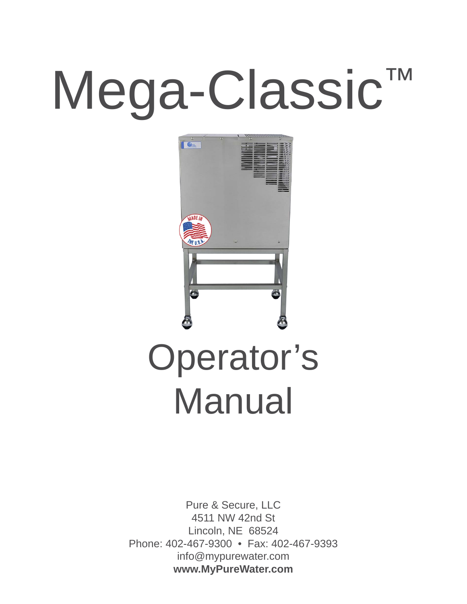# Mega-Classic™



# Operator's Manual

Pure & Secure, LLC 4511 NW 42nd St Lincoln, NE 68524 Phone: 402-467-9300 • Fax: 402-467-9393 info@mypurewater.com **www.MyPureWater.com**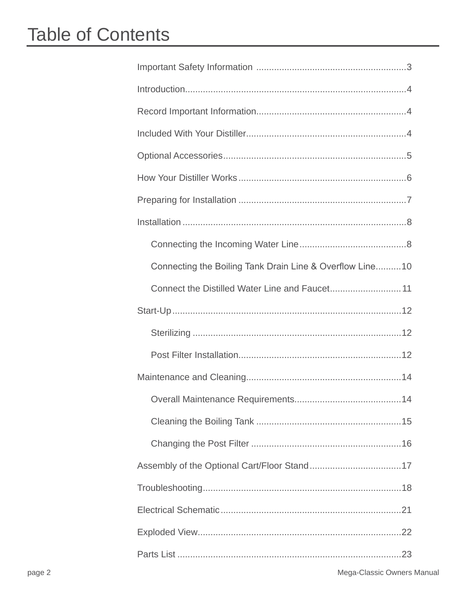# **Table of Contents**

| Connecting the Boiling Tank Drain Line & Overflow Line10 |
|----------------------------------------------------------|
|                                                          |
|                                                          |
|                                                          |
|                                                          |
|                                                          |
|                                                          |
|                                                          |
|                                                          |
|                                                          |
|                                                          |
|                                                          |
|                                                          |
|                                                          |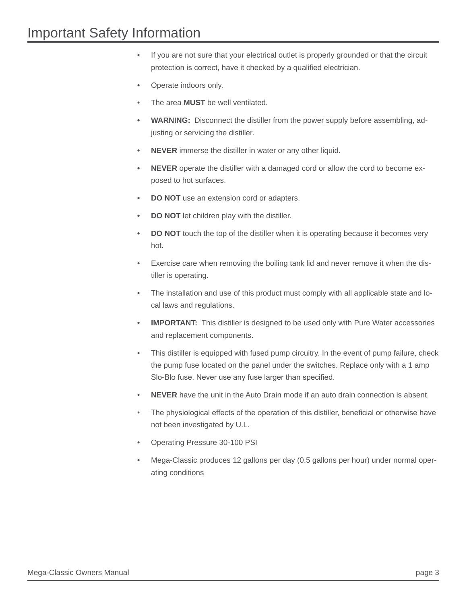- If you are not sure that your electrical outlet is properly grounded or that the circuit protection is correct, have it checked by a qualified electrician.
- Operate indoors only.
- The area **MUST** be well ventilated.
- **WARNING:** Disconnect the distiller from the power supply before assembling, adjusting or servicing the distiller.
- **NEVER** immerse the distiller in water or any other liquid.
- **NEVER** operate the distiller with a damaged cord or allow the cord to become exposed to hot surfaces.
- **DO NOT** use an extension cord or adapters.
- **DO NOT** let children play with the distiller.
- **DO NOT** touch the top of the distiller when it is operating because it becomes very hot.
- Exercise care when removing the boiling tank lid and never remove it when the distiller is operating.
- The installation and use of this product must comply with all applicable state and local laws and regulations.
- **IMPORTANT:** This distiller is designed to be used only with Pure Water accessories and replacement components.
- This distiller is equipped with fused pump circuitry. In the event of pump failure, check the pump fuse located on the panel under the switches. Replace only with a 1 amp Slo-Blo fuse. Never use any fuse larger than specified.
- • **NEVER** have the unit in the Auto Drain mode if an auto drain connection is absent.
- The physiological effects of the operation of this distiller, beneficial or otherwise have not been investigated by U.L.
- Operating Pressure 30-100 PSI
- Mega-Classic produces 12 gallons per day (0.5 gallons per hour) under normal operating conditions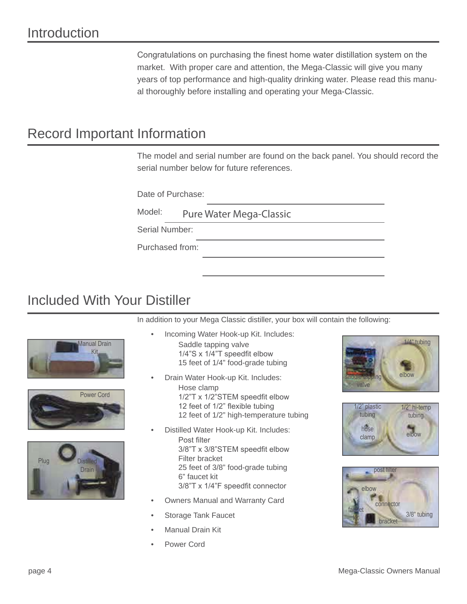Congratulations on purchasing the finest home water distillation system on the market. With proper care and attention, the Mega-Classic will give you many years of top performance and high-quality drinking water. Please read this manual thoroughly before installing and operating your Mega-Classic.

# Record Important Information

The model and serial number are found on the back panel. You should record the serial number below for future references.

Date of Purchase:

Model: <u>Pure Marchines</u> Marchines

Serial Number:

Purchased from:

## Included With Your Distiller

In addition to your Mega Classic distiller, your box will contain the following:







- Incoming Water Hook-up Kit. Includes: Saddle tapping valve  $1/4$ "S x  $1/4$ "T speedfit elbow 15 feet of 1/4" food-grade tubing
	- Drain Water Hook-up Kit. Includes: Hose clamp 1/2"T x 1/2"STEM speedfit elbow 12 feet of 1/2" flexible tubing 12 feet of 1/2" high-temperature tubing
- Distilled Water Hook-up Kit. Includes: Post filter 3/8"T x 3/8"STEM speedfit elbow Filter bracket 25 feet of 3/8" food-grade tubing 6" faucet kit  $3/8$ <sup>"</sup>T x  $1/4$ "F speedfit connector
- Owners Manual and Warranty Card
- Storage Tank Faucet
- **Manual Drain Kit**
- Power Cord





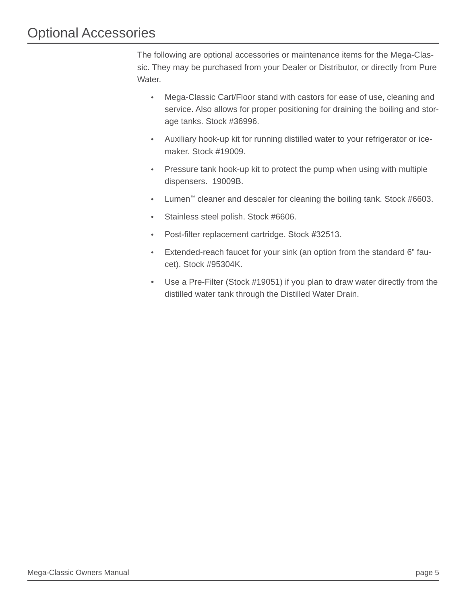The following are optional accessories or maintenance items for the Mega-Classic. They may be purchased from your Dealer or Distributor, or directly from Pure Water.

- Mega-Classic Cart/Floor stand with castors for ease of use, cleaning and service. Also allows for proper positioning for draining the boiling and storage tanks. Stock #36996.
- Auxiliary hook-up kit for running distilled water to your refrigerator or icemaker. Stock #19009.
- Pressure tank hook-up kit to protect the pump when using with multiple dispensers. 19009B.
- Lumen™ cleaner and descaler for cleaning the boiling tank. Stock #6603.
- Stainless steel polish. Stock #6606.
- Post-filter replacement cartridge. Stock #32513.
- Extended-reach faucet for your sink (an option from the standard 6" faucet). Stock #95304K.
- Use a Pre-Filter (Stock #19051) if you plan to draw water directly from the distilled water tank through the Distilled Water Drain.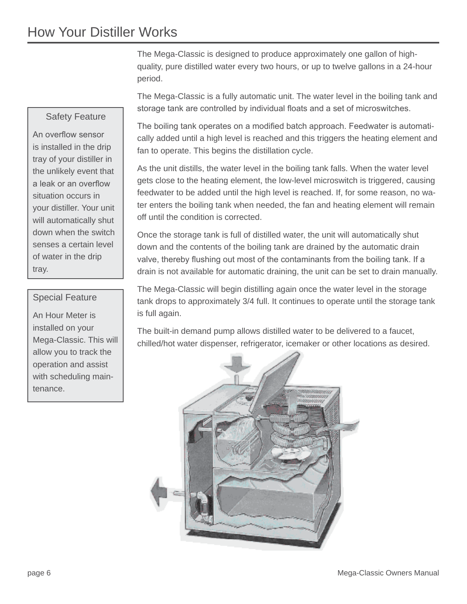### How Your Distiller Works

The Mega-Classic is designed to produce approximately one gallon of highquality, pure distilled water every two hours, or up to twelve gallons in a 24-hour period.

The Mega-Classic is a fully automatic unit. The water level in the boiling tank and storage tank are controlled by individual floats and a set of microswitches.

The boiling tank operates on a modified batch approach. Feedwater is automatically added until a high level is reached and this triggers the heating element and fan to operate. This begins the distillation cycle.

As the unit distills, the water level in the boiling tank falls. When the water level gets close to the heating element, the low-level microswitch is triggered, causing feedwater to be added until the high level is reached. If, for some reason, no water enters the boiling tank when needed, the fan and heating element will remain off until the condition is corrected.

Once the storage tank is full of distilled water, the unit will automatically shut down and the contents of the boiling tank are drained by the automatic drain valve, thereby flushing out most of the contaminants from the boiling tank. If a drain is not available for automatic draining, the unit can be set to drain manually.

The Mega-Classic will begin distilling again once the water level in the storage tank drops to approximately 3/4 full. It continues to operate until the storage tank is full again.

The built-in demand pump allows distilled water to be delivered to a faucet, chilled/hot water dispenser, refrigerator, icemaker or other locations as desired.



# Safety Feature

An overflow sensor is installed in the drip tray of your distiller in the unlikely event that a leak or an overflow situation occurs in your distiller. Your unit will automatically shut down when the switch senses a certain level of water in the drip tray.

#### Special Feature

An Hour Meter is installed on your Mega-Classic. This will allow you to track the operation and assist with scheduling maintenance.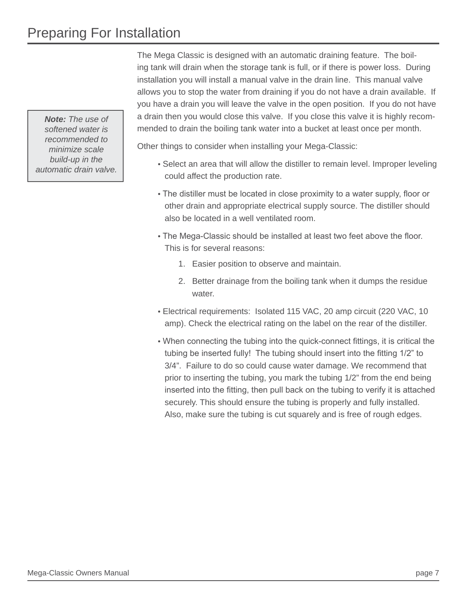# Preparing For Installation

*Note: The use of softened water is recommended to minimize scale build-up in the automatic drain valve.*

The Mega Classic is designed with an automatic draining feature. The boiling tank will drain when the storage tank is full, or if there is power loss. During installation you will install a manual valve in the drain line. This manual valve allows you to stop the water from draining if you do not have a drain available. If you have a drain you will leave the valve in the open position. If you do not have a drain then you would close this valve. If you close this valve it is highly recommended to drain the boiling tank water into a bucket at least once per month.

Other things to consider when installing your Mega-Classic:

- Select an area that will allow the distiller to remain level. Improper leveling could affect the production rate.
- The distiller must be located in close proximity to a water supply, floor or other drain and appropriate electrical supply source. The distiller should also be located in a well ventilated room.
- The Mega-Classic should be installed at least two feet above the floor. This is for several reasons:
	- 1. Easier position to observe and maintain.
	- 2. Better drainage from the boiling tank when it dumps the residue water.
- Electrical requirements: Isolated 115 VAC, 20 amp circuit (220 VAC, 10 amp). Check the electrical rating on the label on the rear of the distiller.
- When connecting the tubing into the quick-connect fittings, it is critical the tubing be inserted fully! The tubing should insert into the fitting 1/2" to 3/4". Failure to do so could cause water damage. We recommend that prior to inserting the tubing, you mark the tubing 1/2" from the end being inserted into the fitting, then pull back on the tubing to verify it is attached securely. This should ensure the tubing is properly and fully installed. Also, make sure the tubing is cut squarely and is free of rough edges.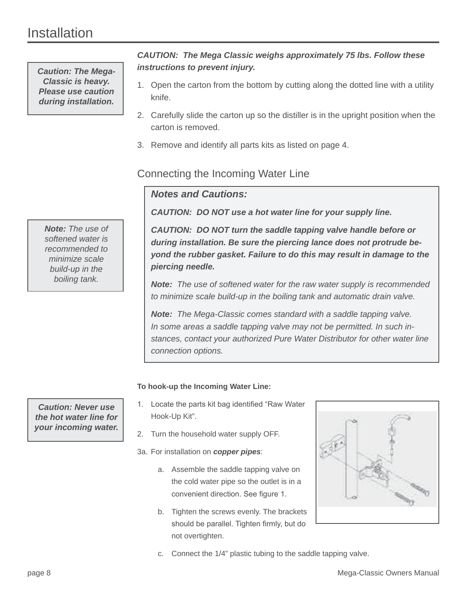## Installation

*Caution: The Mega-Classic is heavy. Please use caution during installation.*

*Note: The use of softened water is recommended to minimize scale build-up in the boiling tank.*

*Caution: Never use the hot water line for your incoming water.*

#### *CAUTION: The Mega Classic weighs approximately 75 lbs. Follow these instructions to prevent injury.*

- 1. Open the carton from the bottom by cutting along the dotted line with a utility knife.
- 2. Carefully slide the carton up so the distiller is in the upright position when the carton is removed.
- 3. Remove and identify all parts kits as listed on page 4.

#### Connecting the Incoming Water Line

#### *Notes and Cautions:*

*CAUTION: DO NOT use a hot water line for your supply line.*

*CAUTION: DO NOT turn the saddle tapping valve handle before or during installation. Be sure the piercing lance does not protrude beyond the rubber gasket. Failure to do this may result in damage to the piercing needle.*

*Note: The use of softened water for the raw water supply is recommended to minimize scale build-up in the boiling tank and automatic drain valve.* 

*Note: The Mega-Classic comes standard with a saddle tapping valve. In some areas a saddle tapping valve may not be permitted. In such instances, contact your authorized Pure Water Distributor for other water line connection options.* 

#### **To hook-up the Incoming Water Line:**

- 1. Locate the parts kit bag identified "Raw Water Hook-Up Kit".
- 2. Turn the household water supply OFF.
- 3a. For installation on *copper pipes*:
	- a. Assemble the saddle tapping valve on the cold water pipe so the outlet is in a convenient direction. See figure 1.
	- b. Tighten the screws evenly. The brackets should be parallel. Tighten firmly, but do not overtighten.



c. Connect the 1/4" plastic tubing to the saddle tapping valve.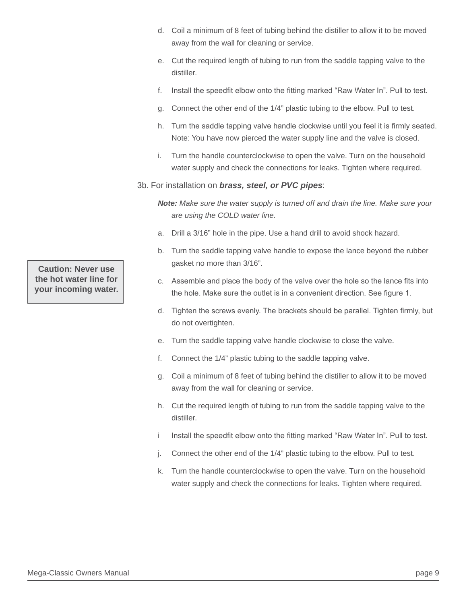- d. Coil a minimum of 8 feet of tubing behind the distiller to allow it to be moved away from the wall for cleaning or service.
- e. Cut the required length of tubing to run from the saddle tapping valve to the distiller.
- f. Install the speedfit elbow onto the fitting marked "Raw Water In". Pull to test.
- g. Connect the other end of the 1/4" plastic tubing to the elbow. Pull to test.
- h. Turn the saddle tapping valve handle clockwise until you feel it is firmly seated. Note: You have now pierced the water supply line and the valve is closed.
- i. Turn the handle counterclockwise to open the valve. Turn on the household water supply and check the connections for leaks. Tighten where required.
- 3b. For installation on *brass, steel, or PVC pipes*:

*Note: Make sure the water supply is turned off and drain the line. Make sure your are using the COLD water line.*

- a. Drill a 3/16" hole in the pipe. Use a hand drill to avoid shock hazard.
- b. Turn the saddle tapping valve handle to expose the lance beyond the rubber gasket no more than 3/16".
- c. Assemble and place the body of the valve over the hole so the lance fits into the hole. Make sure the outlet is in a convenient direction. See figure 1.
- d. Tighten the screws evenly. The brackets should be parallel. Tighten firmly, but do not overtighten.
- e. Turn the saddle tapping valve handle clockwise to close the valve.
- f. Connect the 1/4" plastic tubing to the saddle tapping valve.
- g. Coil a minimum of 8 feet of tubing behind the distiller to allow it to be moved away from the wall for cleaning or service.
- h. Cut the required length of tubing to run from the saddle tapping valve to the distiller.
- i lnstall the speedfit elbow onto the fitting marked "Raw Water In". Pull to test.
- j. Connect the other end of the 1/4" plastic tubing to the elbow. Pull to test.
- k. Turn the handle counterclockwise to open the valve. Turn on the household water supply and check the connections for leaks. Tighten where required.

**Caution: Never use the hot water line for your incoming water.**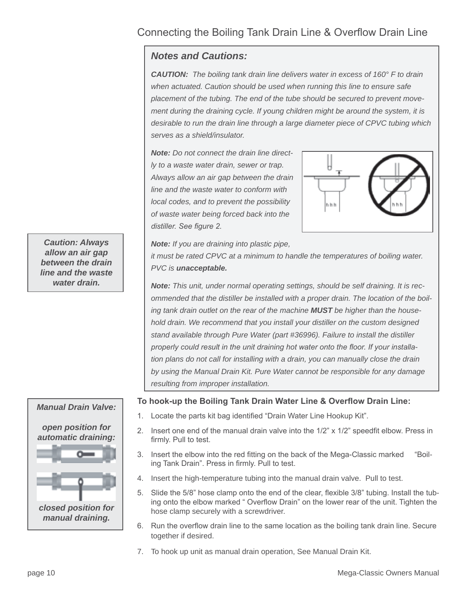#### Connecting the Boiling Tank Drain Line & Overflow Drain Line

#### *Notes and Cautions:*

*CAUTION: The boiling tank drain line delivers water in excess of 160° F to drain when actuated. Caution should be used when running this line to ensure safe placement of the tubing. The end of the tube should be secured to prevent movement during the draining cycle. If young children might be around the system, it is desirable to run the drain line through a large diameter piece of CPVC tubing which serves as a shield/insulator.*

*Note: Do not connect the drain line directly to a waste water drain, sewer or trap. Always allow an air gap between the drain line and the waste water to conform with local codes, and to prevent the possibility of waste water being forced back into the*  distiller. See figure 2.



*Note: If you are draining into plastic pipe,* 

*it must be rated CPVC at a minimum to handle the temperatures of boiling water. PVC is unacceptable.*

*Note: This unit, under normal operating settings, should be self draining. It is recommended that the distiller be installed with a proper drain. The location of the boiling tank drain outlet on the rear of the machine MUST be higher than the household drain. We recommend that you install your distiller on the custom designed stand available through Pure Water (part #36996). Failure to install the distiller*  properly could result in the unit draining hot water onto the floor. If your installa*tion plans do not call for installing with a drain, you can manually close the drain by using the Manual Drain Kit. Pure Water cannot be responsible for any damage resulting from improper installation.* 

#### To hook-up the Boiling Tank Drain Water Line & Overflow Drain Line:

- 1. Locate the parts kit bag identified "Drain Water Line Hookup Kit".
- 2. Insert one end of the manual drain valve into the  $1/2$ " x  $1/2$ " speedfit elbow. Press in firmly. Pull to test.
- 3. Insert the elbow into the red fitting on the back of the Mega-Classic marked "Boiling Tank Drain". Press in firmly. Pull to test.
- 4. Insert the high-temperature tubing into the manual drain valve. Pull to test.
- 5. Slide the 5/8" hose clamp onto the end of the clear, flexible 3/8" tubing. Install the tubing onto the elbow marked " Overflow Drain" on the lower rear of the unit. Tighten the hose clamp securely with a screwdriver.
- 6. Run the overflow drain line to the same location as the boiling tank drain line. Secure together if desired.
- 7. To hook up unit as manual drain operation, See Manual Drain Kit.

*Caution: Always allow an air gap between the drain line and the waste water drain.*

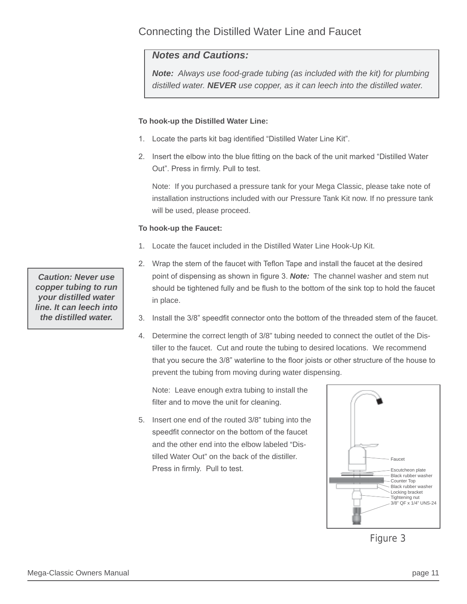#### Connecting the Distilled Water Line and Faucet

#### *Notes and Cautions:*

*Note: Always use food-grade tubing (as included with the kit) for plumbing distilled water. NEVER use copper, as it can leech into the distilled water.*

#### **To hook-up the Distilled Water Line:**

- 1. Locate the parts kit bag identified "Distilled Water Line Kit".
- 2. Insert the elbow into the blue fitting on the back of the unit marked "Distilled Water" Out". Press in firmly. Pull to test.

Note:If you purchased a pressure tank for your Mega Classic, please take note of installation instructions included with our Pressure Tank Kit now. If no pressure tank will be used, please proceed.

#### **To hook-up the Faucet:**

- 1. Locate the faucet included in the Distilled Water Line Hook-Up Kit.
- 2. Wrap the stem of the faucet with Teflon Tape and install the faucet at the desired point of dispensing as shown in figure 3. Note: The channel washer and stem nut should be tightened fully and be flush to the bottom of the sink top to hold the faucet in place.
- 3. Install the 3/8" speedfit connector onto the bottom of the threaded stem of the faucet.
- 4. Determine the correct length of 3/8" tubing needed to connect the outlet of the Distiller to the faucet. Cut and route the tubing to desired locations. We recommend that you secure the 3/8" waterline to the floor joists or other structure of the house to prevent the tubing from moving during water dispensing.

Note:Leave enough extra tubing to install the filter and to move the unit for cleaning.

5. Insert one end of the routed 3/8" tubing into the speedfit connector on the bottom of the faucet and the other end into the elbow labeled "Distilled Water Out" on the back of the distiller. Press in firmly. Pull to test.



Figure 3

*Caution: Never use copper tubing to run your distilled water line. It can leech into the distilled water.*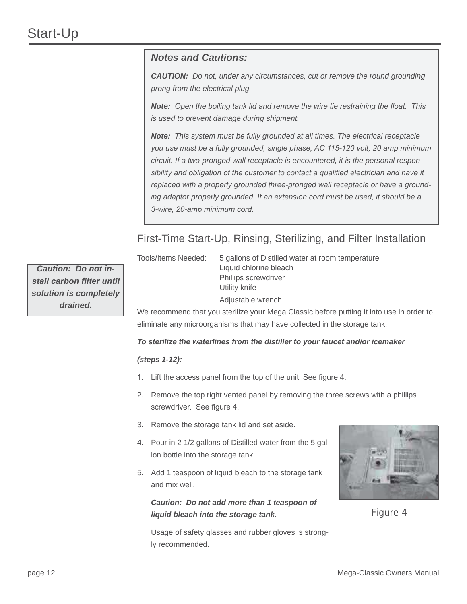#### *Notes and Cautions:*

*CAUTION: Do not, under any circumstances, cut or remove the round grounding prong from the electrical plug.* 

**Note:** Open the boiling tank lid and remove the wire tie restraining the float. This *is used to prevent damage during shipment.* 

*Note: This system must be fully grounded at all times. The electrical receptacle*  you use must be a fully grounded, single phase, AC 115-120 volt, 20 amp minimum *circuit. If a two-pronged wall receptacle is encountered, it is the personal respon*sibility and obligation of the customer to contact a qualified electrician and have it *replaced with a properly grounded three-pronged wall receptacle or have a grounding adaptor properly grounded. If an extension cord must be used, it should be a*  3-wire, 20-amp minimum cord.

#### First-Time Start-Up, Rinsing, Sterilizing, and Filter Installation

Tools/Items Needed: 5 gallons of Distilled water at room temperature

 Liquid chlorine bleach Phillips screwdriver Utility knife Adjustable wrench

*Caution: Do not in*stall carbon filter until *solution is completely drained.*

We recommend that you sterilize your Mega Classic before putting it into use in order to eliminate any microorganisms that may have collected in the storage tank.

#### *To sterilize the waterlines from the distiller to your faucet and/or icemaker*

#### *(steps 1-12):*

- 1. Lift the access panel from the top of the unit. See figure 4.
- 2. Remove the top right vented panel by removing the three screws with a phillips screwdriver. See figure 4.
- 3. Remove the storage tank lid and set aside.
- 4. Pour in 2 1/2 gallons of Distilled water from the 5 gallon bottle into the storage tank.
- 5. Add 1 teaspoon of liquid bleach to the storage tank and mix well.

*Caution: Do not add more than 1 teaspoon of liquid bleach into the storage tank.*



Figure 4

 Usage of safety glasses and rubber gloves is strongly recommended.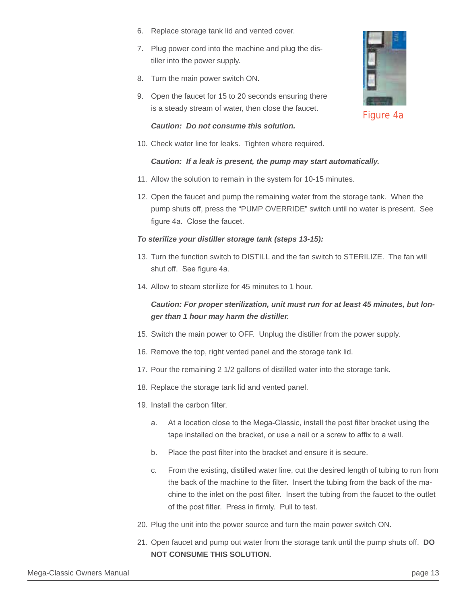- 6. Replace storage tank lid and vented cover.
- 7. Plug power cord into the machine and plug the distiller into the power supply.
- 8. Turn the main power switch ON.
- 9. Open the faucet for 15 to 20 seconds ensuring there is a steady stream of water, then close the faucet.

#### *Caution: Do not consume this solution.*

10. Check water line for leaks. Tighten where required.

#### *Caution: If a leak is present, the pump may start automatically.*

- 11. Allow the solution to remain in the system for 10-15 minutes.
- 12. Open the faucet and pump the remaining water from the storage tank. When the pump shuts off, press the "PUMP OVERRIDE" switch until no water is present. See figure 4a. Close the faucet.

#### *To sterilize your distiller storage tank (steps 13-15):*

- 13. Turn the function switch to DISTILL and the fan switch to STERILIZE. The fan will shut off. See figure 4a.
- 14. Allow to steam sterilize for 45 minutes to 1 hour.

#### *Caution: For proper sterilization, unit must run for at least 45 minutes, but longer than 1 hour may harm the distiller.*

- 15. Switch the main power to OFF. Unplug the distiller from the power supply.
- 16. Remove the top, right vented panel and the storage tank lid.
- 17. Pour the remaining 2 1/2 gallons of distilled water into the storage tank.
- 18. Replace the storage tank lid and vented panel.
- 19. Install the carbon filter.
	- a. At a location close to the Mega-Classic, install the post filter bracket using the tape installed on the bracket, or use a nail or a screw to affix to a wall.
	- b. Place the post filter into the bracket and ensure it is secure.
	- c. From the existing, distilled water line, cut the desired length of tubing to run from the back of the machine to the filter. Insert the tubing from the back of the machine to the inlet on the post filter. Insert the tubing from the faucet to the outlet of the post filter. Press in firmly. Pull to test.
- 20. Plug the unit into the power source and turn the main power switch ON.
- 21. Open faucet and pump out water from the storage tank until the pump shuts off. **DO NOT CONSUME THIS SOLUTION.**



Figure 4a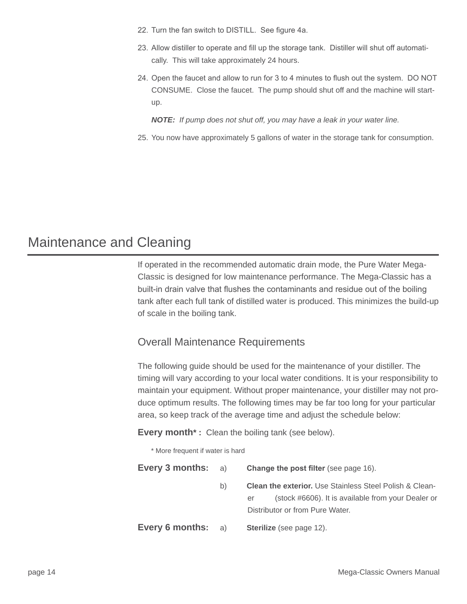- 22. Turn the fan switch to DISTILL. See figure 4a.
- 23. Allow distiller to operate and fill up the storage tank. Distiller will shut off automatically. This will take approximately 24 hours.
- 24. Open the faucet and allow to run for 3 to 4 minutes to flush out the system. DO NOT CONSUME. Close the faucet. The pump should shut off and the machine will startup.

 *NOTE: If pump does not shut off, you may have a leak in your water line.* 

25. You now have approximately 5 gallons of water in the storage tank for consumption.

### Maintenance and Cleaning

If operated in the recommended automatic drain mode, the Pure Water Mega-Classic is designed for low maintenance performance. The Mega-Classic has a built-in drain valve that flushes the contaminants and residue out of the boiling tank after each full tank of distilled water is produced. This minimizes the build-up of scale in the boiling tank.

#### Overall Maintenance Requirements

The following guide should be used for the maintenance of your distiller. The timing will vary according to your local water conditions. It is your responsibility to maintain your equipment. Without proper maintenance, your distiller may not produce optimum results. The following times may be far too long for your particular area, so keep track of the average time and adjust the schedule below:

**Every month\*:** Clean the boiling tank (see below).

\* More frequent if water is hard

**Every 3 months:** a) **Change the post filter** (see page 16). b) **Clean the exterior.** Use Stainless Steel Polish & Cleaner (stock #6606). It is available from your Dealer or Distributor or from Pure Water. **Every 6 months:** a) **Sterilize** (see page 12).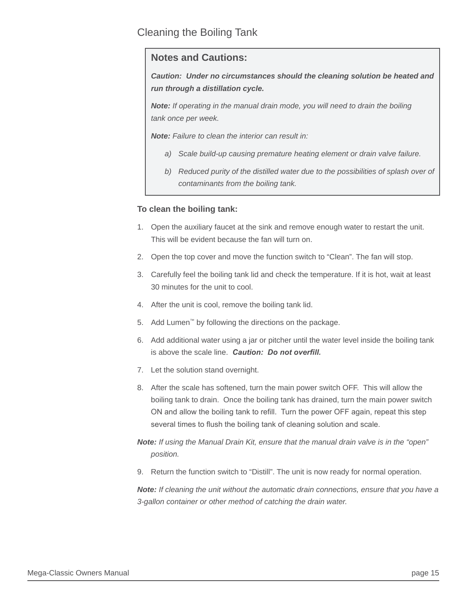#### Cleaning the Boiling Tank

#### **Notes and Cautions:**

*Caution: Under no circumstances should the cleaning solution be heated and run through a distillation cycle.* 

*Note: If operating in the manual drain mode, you will need to drain the boiling tank once per week.*

*Note: Failure to clean the interior can result in:* 

- *a) Scale build-up causing premature heating element or drain valve failure.*
- b) Reduced purity of the distilled water due to the possibilities of splash over of *contaminants from the boiling tank.*

#### **To clean the boiling tank:**

- 1. Open the auxiliary faucet at the sink and remove enough water to restart the unit. This will be evident because the fan will turn on.
- 2. Open the top cover and move the function switch to "Clean". The fan will stop.
- 3. Carefully feel the boiling tank lid and check the temperature. If it is hot, wait at least 30 minutes for the unit to cool.
- 4. After the unit is cool, remove the boiling tank lid.
- 5. Add Lumen™ by following the directions on the package.
- 6. Add additional water using a jar or pitcher until the water level inside the boiling tank is above the scale line. **Caution: Do not overfill.**
- 7. Let the solution stand overnight.
- 8. After the scale has softened, turn the main power switch OFF. This will allow the boiling tank to drain. Once the boiling tank has drained, turn the main power switch ON and allow the boiling tank to refill. Turn the power OFF again, repeat this step several times to flush the boiling tank of cleaning solution and scale.

*Note: If using the Manual Drain Kit, ensure that the manual drain valve is in the "open" position.*

9. Return the function switch to "Distill". The unit is now ready for normal operation.

*Note: If cleaning the unit without the automatic drain connections, ensure that you have a 3-gallon container or other method of catching the drain water.*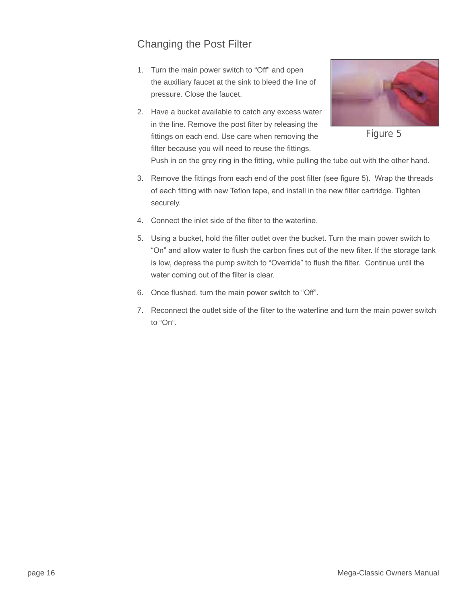#### Changing the Post Filter

- 1. Turn the main power switch to "Off" and open the auxiliary faucet at the sink to bleed the line of pressure. Close the faucet.
- 2. Have a bucket available to catch any excess water in the line. Remove the post filter by releasing the fittings on each end. Use care when removing the filter because you will need to reuse the fittings.



Figure 5

Push in on the grey ring in the fitting, while pulling the tube out with the other hand.

- 3. Remove the fittings from each end of the post filter (see figure 5). Wrap the threads of each fitting with new Teflon tape, and install in the new filter cartridge. Tighten securely.
- 4. Connect the inlet side of the filter to the waterline.
- 5. Using a bucket, hold the filter outlet over the bucket. Turn the main power switch to "On" and allow water to flush the carbon fines out of the new filter. If the storage tank is low, depress the pump switch to "Override" to flush the filter. Continue until the water coming out of the filter is clear.
- 6. Once flushed, turn the main power switch to "Off".
- 7. Reconnect the outlet side of the filter to the waterline and turn the main power switch to "On".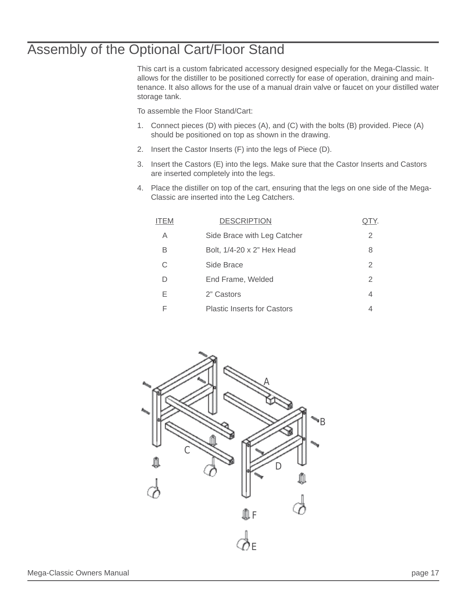## Assembly of the Optional Cart/Floor Stand

This cart is a custom fabricated accessory designed especially for the Mega-Classic. It allows for the distiller to be positioned correctly for ease of operation, draining and maintenance. It also allows for the use of a manual drain valve or faucet on your distilled water storage tank.

To assemble the Floor Stand/Cart:

- 1. Connect pieces (D) with pieces (A), and (C) with the bolts (B) provided. Piece (A) should be positioned on top as shown in the drawing.
- 2. Insert the Castor Inserts (F) into the legs of Piece (D).
- 3. Insert the Castors (E) into the legs. Make sure that the Castor Inserts and Castors are inserted completely into the legs.
- 4. Place the distiller on top of the cart, ensuring that the legs on one side of the Mega-Classic are inserted into the Leg Catchers.

| I I EM | <b>DESCRIPTION</b>                 |   |
|--------|------------------------------------|---|
| A      | Side Brace with Leg Catcher        | 2 |
| В      | Bolt, 1/4-20 x 2" Hex Head         | 8 |
| C      | Side Brace                         | 2 |
| D      | End Frame, Welded                  | 2 |
| E      | 2" Castors                         | 4 |
| F      | <b>Plastic Inserts for Castors</b> |   |

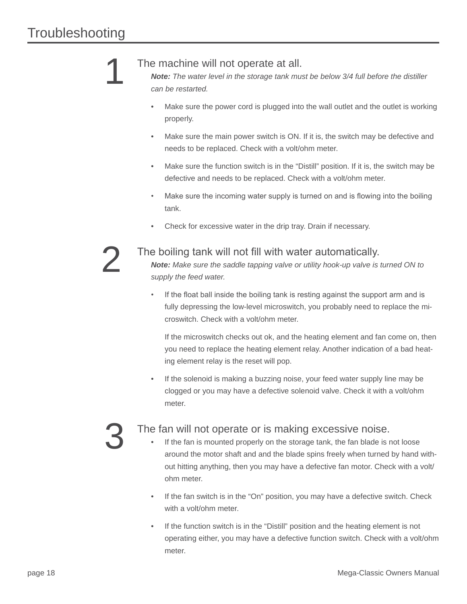#### The machine will not operate at all.

*Note: The water level in the storage tank must be below 3/4 full before the distiller can be restarted.*

- Make sure the power cord is plugged into the wall outlet and the outlet is working properly.
- Make sure the main power switch is ON. If it is, the switch may be defective and needs to be replaced. Check with a volt/ohm meter.
- Make sure the function switch is in the "Distill" position. If it is, the switch may be defective and needs to be replaced. Check with a volt/ohm meter.
- Make sure the incoming water supply is turned on and is flowing into the boiling tank.
- Check for excessive water in the drip tray. Drain if necessary.

# 2

1

#### The boiling tank will not fill with water automatically.

*Note: Make sure the saddle tapping valve or utility hook-up valve is turned ON to supply the feed water.*

If the float ball inside the boiling tank is resting against the support arm and is fully depressing the low-level microswitch, you probably need to replace the microswitch. Check with a volt/ohm meter.

 If the microswitch checks out ok, and the heating element and fan come on, then you need to replace the heating element relay. Another indication of a bad heating element relay is the reset will pop.

If the solenoid is making a buzzing noise, your feed water supply line may be clogged or you may have a defective solenoid valve. Check it with a volt/ohm meter.

# 3

#### The fan will not operate or is making excessive noise.

- If the fan is mounted properly on the storage tank, the fan blade is not loose around the motor shaft and and the blade spins freely when turned by hand without hitting anything, then you may have a defective fan motor. Check with a volt/ ohm meter.
- If the fan switch is in the "On" position, you may have a defective switch. Check with a volt/ohm meter.
- If the function switch is in the "Distill" position and the heating element is not operating either, you may have a defective function switch. Check with a volt/ohm meter.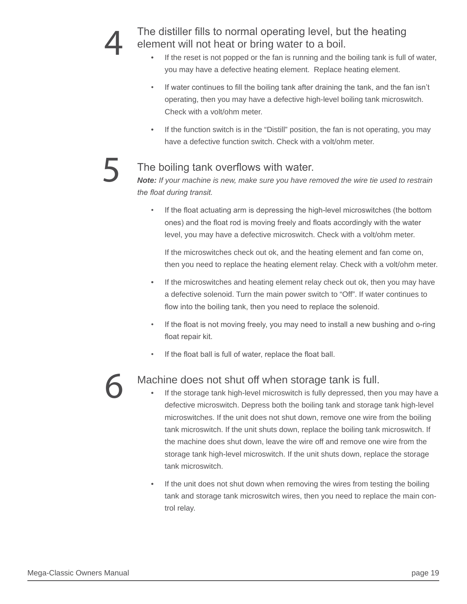The distiller fills to normal operating level, but the heating element will not heat or bring water to a boil.

- If the reset is not popped or the fan is running and the boiling tank is full of water, you may have a defective heating element. Replace heating element.
- If water continues to fill the boiling tank after draining the tank, and the fan isn't operating, then you may have a defective high-level boiling tank microswitch. Check with a volt/ohm meter.
- If the function switch is in the "Distill" position, the fan is not operating, you may have a defective function switch. Check with a volt/ohm meter.

#### The boiling tank overflows with water.

*Note: If your machine is new, make sure you have removed the wire tie used to restrain*  the float during transit.

• If the float actuating arm is depressing the high-level microswitches (the bottom ones) and the float rod is moving freely and floats accordingly with the water level, you may have a defective microswitch. Check with a volt/ohm meter.

 If the microswitches check out ok, and the heating element and fan come on, then you need to replace the heating element relay. Check with a volt/ohm meter.

- If the microswitches and heating element relay check out ok, then you may have a defective solenoid. Turn the main power switch to "Off". If water continues to flow into the boiling tank, then you need to replace the solenoid.
- If the float is not moving freely, you may need to install a new bushing and o-ring float repair kit.
- If the float ball is full of water, replace the float ball.

# 6

5

#### Machine does not shut off when storage tank is full.

- If the storage tank high-level microswitch is fully depressed, then you may have a defective microswitch. Depress both the boiling tank and storage tank high-level microswitches. If the unit does not shut down, remove one wire from the boiling tank microswitch. If the unit shuts down, replace the boiling tank microswitch. If the machine does shut down, leave the wire off and remove one wire from the storage tank high-level microswitch. If the unit shuts down, replace the storage tank microswitch.
- If the unit does not shut down when removing the wires from testing the boiling tank and storage tank microswitch wires, then you need to replace the main control relay.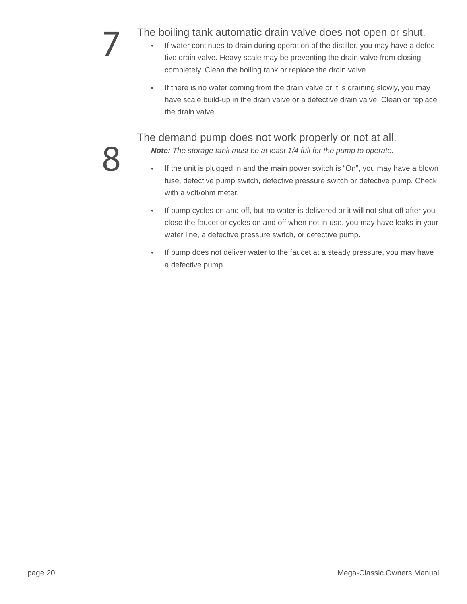- The boiling tank automatic drain valve does not open or shut.<br>
 If water continues to drain during operation of the distiller, you may have a def<br>
tive drain valve. Heavy scale may be preventing the drain valve from closi If water continues to drain during operation of the distiller, you may have a defective drain valve. Heavy scale may be preventing the drain valve from closing completely. Clean the boiling tank or replace the drain valve.
	- If there is no water coming from the drain valve or it is draining slowly, you may have scale build-up in the drain valve or a defective drain valve. Clean or replace the drain valve.

The demand pump does not work properly or not at all.

*Note: The storage tank must be at least 1/4 full for the pump to operate.*

- If the unit is plugged in and the main power switch is "On", you may have a blown fuse, defective pump switch, defective pressure switch or defective pump. Check with a volt/ohm meter.
- If pump cycles on and off, but no water is delivered or it will not shut off after you close the faucet or cycles on and off when not in use, you may have leaks in your water line, a defective pressure switch, or defective pump.
- If pump does not deliver water to the faucet at a steady pressure, you may have a defective pump.

8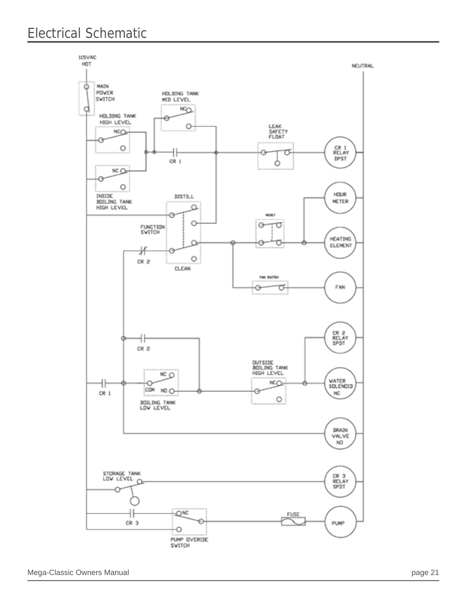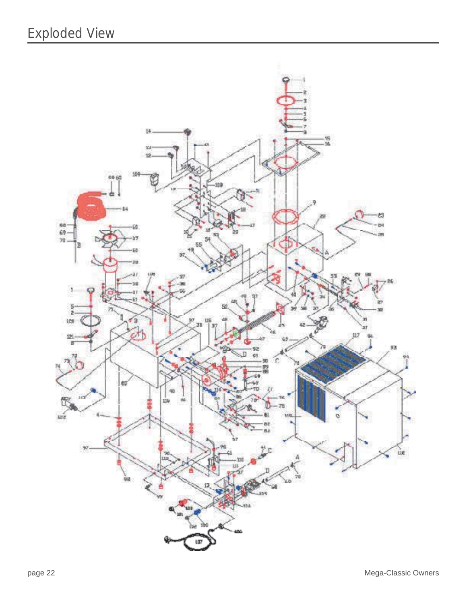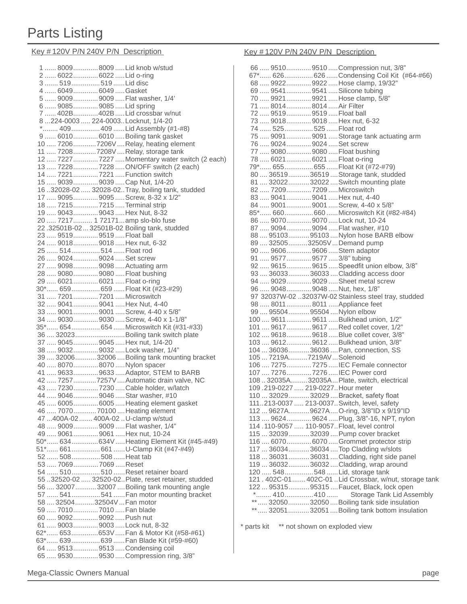# Parts Listing

Key # 120V P/N 240V P/N Description Key # 120V P/N 240V P/N Description

|                                                          | 1  8009  8009  Lid knob w/stud                                            |
|----------------------------------------------------------|---------------------------------------------------------------------------|
| 2  6022  6022  Lid o-ring                                |                                                                           |
| 3  519  519  Lid disc                                    |                                                                           |
| 4  6049  6049  Gasket                                    |                                                                           |
|                                                          | 5  9009  9009  Flat washer, 1/4'                                          |
| 6  9085  9085  Lid spring                                |                                                                           |
|                                                          | 7  402B 402B  Lid crossbar w/nut                                          |
|                                                          | 8224-0003 224-0003Locknut, 1/4-20                                         |
|                                                          | * 409 409  Lid Assembly (#1-#8)                                           |
|                                                          | 9  6010  6010  Boiling tank gasket                                        |
|                                                          | 10  7206 7206V  Relay, heating element                                    |
|                                                          | 11  7208 7208V  Relay, storage tank                                       |
|                                                          | 12  7227  7227  Momentary water switch (2 each)                           |
|                                                          | 13  7228  7228  ON/OFF switch (2 each)                                    |
|                                                          | 14  7221  7221  Function switch                                           |
|                                                          | 15  9039  9039  Cap Nut, 1/4-20                                           |
|                                                          | 16.32028-02  32028-02. Tray, boiling tank, studded                        |
|                                                          | 17  9095 9095  Screw, 8-32 x 1/2"                                         |
| 18  7215  7215  Terminal strip                           |                                                                           |
| 19  9043  9043  Hex Nut, 8-32                            |                                                                           |
|                                                          | 20  7217  1 72171  amp slo-blo fuse                                       |
|                                                          | 22.32501B-0232501B-02 Boiling tank, studded                               |
| 23  9519  9519  Float ball                               |                                                                           |
| 24  9018  9018  Hex nut, 6-32                            |                                                                           |
| 25  514  514  Float rod                                  |                                                                           |
| 26  9024  9024  Set screw                                |                                                                           |
| 27  9098  9098  Actuating arm                            |                                                                           |
| 28  9080  9080  Float bushing                            |                                                                           |
| 29  6021  6021  Float o-ring                             |                                                                           |
|                                                          | 30* 659 659  Float Kit (#23-#29)                                          |
| 31  7201  7201  Microswitch                              |                                                                           |
| 32  9041  9041  Hex Nut, 4-40                            |                                                                           |
|                                                          | 33  9001  9001  Screw, 4-40 x 5/8"                                        |
|                                                          | 34  9030  9030  Screw, 4-40 x 1-1/8"                                      |
|                                                          | 35* 654 654  Microswitch Kit (#31-#33)                                    |
|                                                          |                                                                           |
|                                                          | 37  9045  9045  Hex nut, 1/4-20                                           |
|                                                          | 38  9032  9032  Lock washer, 1/4"                                         |
|                                                          | 39  32006  32006  Boiling tank mounting bracket                           |
|                                                          |                                                                           |
|                                                          |                                                                           |
| 40  8070  8070  Nylon spacer                             |                                                                           |
|                                                          | 41  9633  9633  Adaptor, STEM to BARB                                     |
|                                                          | 42  7257 7257V  Automatic drain valve, NC                                 |
|                                                          | 43  7230  7230  Cable holder, w/latch                                     |
|                                                          | 44  9046  9046  Star washer, #10                                          |
|                                                          | 45  6005  6005  Heating element gasket                                    |
|                                                          | 46  7070  70100  Heating element                                          |
|                                                          | 47 400A-02  400A-02 U-clamp w/stud                                        |
|                                                          | 48  9009  9009  Flat washer, 1/4"                                         |
| 49  9061  9061  Hex nut, 10-24                           |                                                                           |
|                                                          | 50* 634634V  Heating Element Kit (#45-#49)                                |
|                                                          | 51* 661 661  U-Clamp Kit (#47-#49)                                        |
| 52  508  508  Heat tab                                   |                                                                           |
| 53  7069  7069  Reset                                    |                                                                           |
|                                                          | 54  510  510  Reset retainer board                                        |
|                                                          | 55.32520-02 32520-02. Plate, reset retainer, studded                      |
|                                                          | 56  32007  32007  Boiling tank mounting angle                             |
|                                                          | 57  541  541  Fan motor mounting bracket                                  |
| 58  32504 32504V  Fan motor<br>59  7010  7010  Fan blade |                                                                           |
|                                                          |                                                                           |
| 60  9092  9092  Push nut                                 |                                                                           |
| 61  9003  9003  Lock nut, 8-32                           |                                                                           |
|                                                          | 62* 653653VFan & Motor Kit (#58-#61)                                      |
|                                                          | 63* 639 639  Fan Blade Kit (#59-#60)                                      |
|                                                          | 64  9513  9513  Condensing coil<br>65  9530  9530  Compression ring, 3/8" |

|                                   | 66  9510  9510  Compression nut, 3/8"                                                       |
|-----------------------------------|---------------------------------------------------------------------------------------------|
|                                   | 67* 626 626  Condensing Coil Kit (#64-#66)                                                  |
|                                   | 68  9922  9922  Hose clamp, 19/32"                                                          |
| 69  9541  9541  Silicone tubing   |                                                                                             |
|                                   | 70  9921  9921  Hose clamp, 5/8"                                                            |
| 71  8014  8014  Air Filter        |                                                                                             |
| 72  9519  9519  Float ball        |                                                                                             |
| 73  9018  9018  Hex nut, 6-32     |                                                                                             |
| 74  525  525  Float rod           |                                                                                             |
|                                   | 75  9091  9091  Storage tank actuating arm                                                  |
| 76  9024  9024  Set screw         |                                                                                             |
| 77  9080  9080  Float bushing     |                                                                                             |
| 78  6021  6021  Float o-ring      |                                                                                             |
|                                   |                                                                                             |
|                                   | 79* 655 655  Float Kit (#72-#79)                                                            |
|                                   | 80  36519  36519  Storage tank, studded                                                     |
|                                   | 81  32022  32022  Switch mounting plate                                                     |
| 82  7209  7209  Microswitch       |                                                                                             |
| 83  9041  9041  Hex nut, 4-40     |                                                                                             |
|                                   | 84  9001  9001  Screw, 4-40 x 5/8"                                                          |
|                                   | 85* 660 660  Microswitch Kit (#82-#84)                                                      |
|                                   | 86  9070  9070  Lock nut, 10-24                                                             |
|                                   | 87  9094  9094  Flat washer, #10                                                            |
|                                   | 88  95103  95103  Nylon hose BARB elbow                                                     |
|                                   | 89  32505  32505V  Demand pump                                                              |
| 90  9606  9606  Stem adaptor      |                                                                                             |
| 91  9577  9577  3/8" tubing       |                                                                                             |
|                                   | 92  9615  9615  Speedfit union elbow, 3/8"                                                  |
|                                   | 93  36033  36033  Cladding access door                                                      |
|                                   | 94  9029  9029  Sheet metal screw                                                           |
|                                   |                                                                                             |
|                                   |                                                                                             |
| 96  9048  9048  Nut, hex, 1/8"    |                                                                                             |
|                                   | 97 32037W-02 32037W-02 Stainless steel tray, studded                                        |
| 98  8011  8011  Appliance feet    |                                                                                             |
| 99  95504  95504  Nylon elbow     |                                                                                             |
|                                   | 100  9611  9611  Bulkhead union, 1/2"                                                       |
|                                   | 101  9617  9617  Red collet cover, 1/2"                                                     |
|                                   | 102  9618  9618  Blue collet cover, 3/8"                                                    |
|                                   | 103  9612  9612  Bulkhead union, 3/8"                                                       |
|                                   | 104  36036  36036  Pan, connection, SS                                                      |
| 105  7219A7219AV  Solenoid        |                                                                                             |
|                                   | 106  7275  7275  IEC Female connector                                                       |
|                                   | 107  7276  7276  IEC Power cord                                                             |
|                                   | 108  32035A32035A Plate, switch, electrical                                                 |
| 109.219-0227  219-0227 Hour meter |                                                                                             |
|                                   | 110  32029  32029  Bracket, safety float                                                    |
|                                   | 111213-0037  213-0037 Switch, level, safety                                                 |
|                                   | 112  9627A 9627AO-ring, 3/8"ID x 9/19"ID                                                    |
|                                   | 113  9624  9624  Plug, 3/8"-16, NPT, nylon                                                  |
|                                   | 114.110-9057  110-9057. Float, level control                                                |
|                                   | 115  32039  32039  Pump cover bracket                                                       |
|                                   | 116  6070  6070  Grommet protector strip                                                    |
|                                   | 117  36034  36034  Top Cladding w/slots                                                     |
|                                   | 118  36031  36031  Cladding, right side panel                                               |
|                                   | 119  36032  36032  Cladding, wrap around                                                    |
|                                   | 120  548  548  Lid, storage tank                                                            |
|                                   | 121.402C-01402C-01Lid Crossbar, w/nut, storage tank                                         |
|                                   | 122  95315  95315  Faucet, Black, lock open                                                 |
| $*$ 410 410                       | Storage Tank Lid Assembly                                                                   |
|                                   | 32050 32050  Boiling tank side insulation<br>** 32051 32051  Boiling tank bottom insulation |

\* parts kit \*\* not shown on exploded view